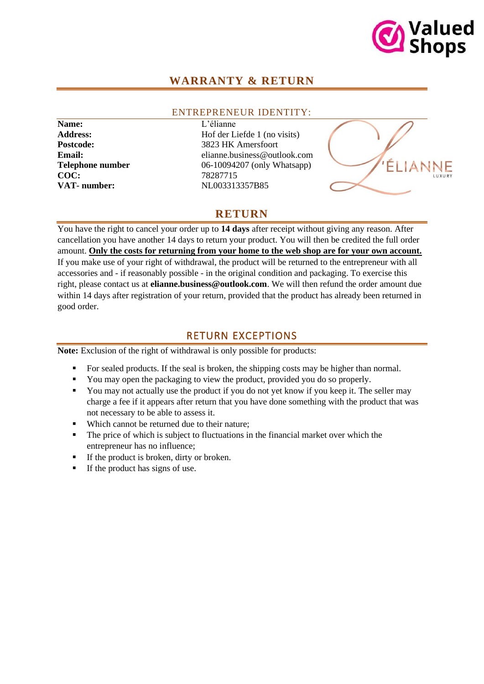

# **WARRANTY & RETURN**

#### ENTREPRENEUR IDENTITY:

**Name:** L'élianne **COC:** 78287715 **VAT- number:** NL003313357B85

Address: Hof der Liefde 1 (no visits) Postcode: 3823 HK Amersfoort **Email:** elianne.business@outlook.com **Telephone number** 06-10094207 (only Whatsapp)



# **RETURN**

You have the right to cancel your order up to **14 days** after receipt without giving any reason. After cancellation you have another 14 days to return your product. You will then be credited the full order amount. **Only the costs for returning from your home to the web shop are for your own account.** If you make use of your right of withdrawal, the product will be returned to the entrepreneur with all accessories and - if reasonably possible - in the original condition and packaging. To exercise this right, please contact us at **elianne.business@outlook.com**. We will then refund the order amount due within 14 days after registration of your return, provided that the product has already been returned in good order.

### RETURN EXCEPTIONS

**Note:** Exclusion of the right of withdrawal is only possible for products:

- For sealed products. If the seal is broken, the shipping costs may be higher than normal.
- You may open the packaging to view the product, provided you do so properly.
- You may not actually use the product if you do not yet know if you keep it. The seller may charge a fee if it appears after return that you have done something with the product that was not necessary to be able to assess it.
- Which cannot be returned due to their nature:
- The price of which is subject to fluctuations in the financial market over which the entrepreneur has no influence;
- If the product is broken, dirty or broken.
- If the product has signs of use.